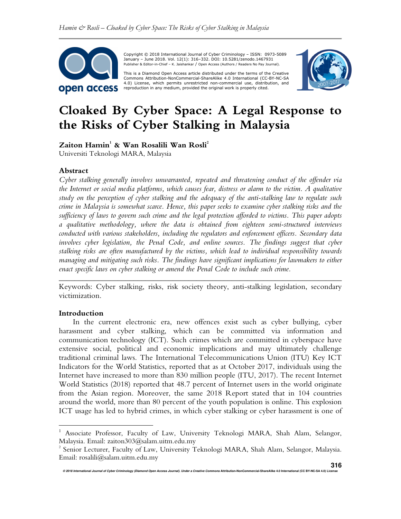

 Copyright © 2018 International Journal of Cyber Criminology – ISSN: 0973-5089 January – June 2018. Vol. 12(1): 316–332. DOI: 10.5281/zenodo.1467931 Publisher & Editor-in-Chief – K. Jaishankar / Open Access (Authors / Readers No Pay Journal).

This is a Diamond Open Access article distributed under the terms of the Creative<br>Commons Attribution-NonCommercial-ShareAlike 4.0 International (CC-BY-NC-SA 4.0) License, which permits unrestricted non-commercial use, distribution, and reproduction in any medium, provided the original work is properly cited.



# **Cloaked By Cyber Space: A Legal Response to the Risks of Cyber Stalking in Malaysia**

**Zaiton Hamin<sup>1</sup> & Wan Rosalili Wan Rosli<sup>2</sup>**

Universiti Teknologi MARA, Malaysia

# **Abstract**

*Cyber stalking generally involves unwarranted, repeated and threatening conduct of the offender via the Internet or social media platforms, which causes fear, distress or alarm to the victim. A qualitative study on the perception of cyber stalking and the adequacy of the anti-stalking law to regulate such crime in Malaysia is somewhat scarce. Hence, this paper seeks to examine cyber stalking risks and the sufficiency of laws to govern such crime and the legal protection afforded to victims. This paper adopts a qualitative methodology, where the data is obtained from eighteen semi-structured interviews conducted with various stakeholders, including the regulators and enforcement officers. Secondary data involves cyber legislation, the Penal Code, and online sources. The findings suggest that cyber stalking risks are often manufactured by the victims, which lead to individual responsibility towards managing and mitigating such risks. The findings have significant implications for lawmakers to either enact specific laws on cyber stalking or amend the Penal Code to include such crime.* 

*\_\_\_\_\_\_\_\_\_\_\_\_\_\_\_\_\_\_\_\_\_\_\_\_\_\_\_\_\_\_\_\_\_\_\_\_\_\_\_\_\_\_\_\_\_\_\_\_\_\_\_\_\_\_\_\_\_\_\_\_\_\_\_\_\_\_\_\_\_\_\_\_*  Keywords: Cyber stalking, risks, risk society theory, anti-stalking legislation, secondary victimization.

## **Introduction**

 $\overline{a}$ 

In the current electronic era, new offences exist such as cyber bullying, cyber harassment and cyber stalking, which can be committed via information and communication technology (ICT). Such crimes which are committed in cyberspace have extensive social, political and economic implications and may ultimately challenge traditional criminal laws. The International Telecommunications Union (ITU) Key ICT Indicators for the World Statistics, reported that as at October 2017, individuals using the Internet have increased to more than 830 million people (ITU, 2017). The recent Internet World Statistics (2018) reported that 48.7 percent of Internet users in the world originate from the Asian region. Moreover, the same 2018 Report stated that in 104 countries around the world, more than 80 percent of the youth population is online. This explosion ICT usage has led to hybrid crimes, in which cyber stalking or cyber harassment is one of

<sup>1</sup> Associate Professor, Faculty of Law, University Teknologi MARA, Shah Alam, Selangor, Malaysia. Email: zaiton303@salam.uitm.edu.my

<sup>&</sup>lt;sup>2</sup> Senior Lecturer, Faculty of Law, University Teknologi MARA, Shah Alam, Selangor, Malaysia. Email: rosalili@salam.uitm.edu.my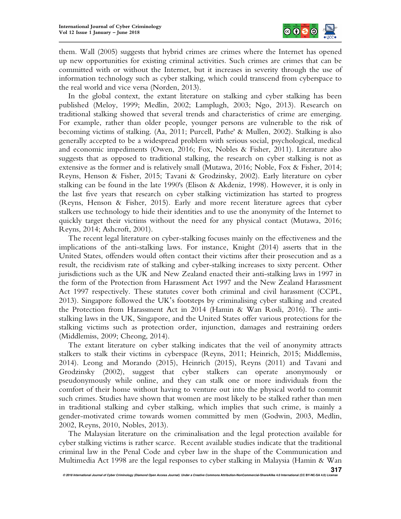

them. Wall (2005) suggests that hybrid crimes are crimes where the Internet has opened up new opportunities for existing criminal activities. Such crimes are crimes that can be committed with or without the Internet, but it increases in severity through the use of information technology such as cyber stalking, which could transcend from cyberspace to the real world and vice versa (Norden, 2013).

In the global context, the extant literature on stalking and cyber stalking has been published (Meloy, 1999; Medlin, 2002; Lamplugh, 2003; Ngo, 2013). Research on traditional stalking showed that several trends and characteristics of crime are emerging. For example, rather than older people, younger persons are vulnerable to the risk of becoming victims of stalking. (Aa, 2011; Purcell, Pathe' & Mullen, 2002). Stalking is also generally accepted to be a widespread problem with serious social, psychological, medical and economic impediments (Owen, 2016; Fox, Nobles & Fisher, 2011). Literature also suggests that as opposed to traditional stalking, the research on cyber stalking is not as extensive as the former and is relatively small (Mutawa, 2016; Noble, Fox & Fisher, 2014; Reyns, Henson & Fisher, 2015; Tavani & Grodzinsky, 2002). Early literature on cyber stalking can be found in the late 1990's (Elison & Akdeniz, 1998). However, it is only in the last five years that research on cyber stalking victimization has started to progress (Reyns, Henson & Fisher, 2015). Early and more recent literature agrees that cyber stalkers use technology to hide their identities and to use the anonymity of the Internet to quickly target their victims without the need for any physical contact (Mutawa, 2016; Reyns, 2014; Ashcroft, 2001).

The recent legal literature on cyber-stalking focuses mainly on the effectiveness and the implications of the anti-stalking laws. For instance, Knight (2014) asserts that in the United States, offenders would often contact their victims after their prosecution and as a result, the recidivism rate of stalking and cyber-stalking increases to sixty percent. Other jurisdictions such as the UK and New Zealand enacted their anti-stalking laws in 1997 in the form of the Protection from Harassment Act 1997 and the New Zealand Harassment Act 1997 respectively. These statutes cover both criminal and civil harassment (CCPL, 2013). Singapore followed the UK's footsteps by criminalising cyber stalking and created the Protection from Harassment Act in 2014 (Hamin & Wan Rosli, 2016). The antistalking laws in the UK, Singapore, and the United States offer various protections for the stalking victims such as protection order, injunction, damages and restraining orders (Middlemiss, 2009; Cheong, 2014).

The extant literature on cyber stalking indicates that the veil of anonymity attracts stalkers to stalk their victims in cyberspace (Reyns, 2011; Heinrich, 2015; Middlemiss, 2014). Leong and Morando (2015), Heinrich (2015), Reyns (2011) and Tavani and Grodzinsky (2002), suggest that cyber stalkers can operate anonymously or pseudonymously while online, and they can stalk one or more individuals from the comfort of their home without having to venture out into the physical world to commit such crimes. Studies have shown that women are most likely to be stalked rather than men in traditional stalking and cyber stalking, which implies that such crime, is mainly a gender-motivated crime towards women committed by men (Godwin, 2003, Medlin, 2002, Reyns, 2010, Nobles, 2013).

The Malaysian literature on the criminalisation and the legal protection available for cyber stalking victims is rather scarce. Recent available studies indicate that the traditional criminal law in the Penal Code and cyber law in the shape of the Communication and Multimedia Act 1998 are the legal responses to cyber stalking in Malaysia (Hamin & Wan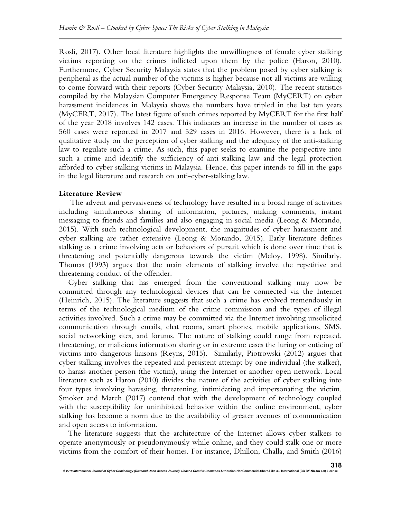Rosli, 2017). Other local literature highlights the unwillingness of female cyber stalking victims reporting on the crimes inflicted upon them by the police (Haron, 2010). Furthermore, Cyber Security Malaysia states that the problem posed by cyber stalking is peripheral as the actual number of the victims is higher because not all victims are willing to come forward with their reports (Cyber Security Malaysia, 2010). The recent statistics compiled by the Malaysian Computer Emergency Response Team (MyCERT) on cyber harassment incidences in Malaysia shows the numbers have tripled in the last ten years (MyCERT, 2017). The latest figure of such crimes reported by MyCERT for the first half of the year 2018 involves 142 cases. This indicates an increase in the number of cases as 560 cases were reported in 2017 and 529 cases in 2016. However, there is a lack of qualitative study on the perception of cyber stalking and the adequacy of the anti-stalking law to regulate such a crime. As such, this paper seeks to examine the perspective into such a crime and identify the sufficiency of anti-stalking law and the legal protection afforded to cyber stalking victims in Malaysia. Hence, this paper intends to fill in the gaps in the legal literature and research on anti-cyber-stalking law.

## **Literature Review**

 The advent and pervasiveness of technology have resulted in a broad range of activities including simultaneous sharing of information, pictures, making comments, instant messaging to friends and families and also engaging in social media (Leong & Morando, 2015). With such technological development, the magnitudes of cyber harassment and cyber stalking are rather extensive (Leong & Morando, 2015). Early literature defines stalking as a crime involving acts or behaviors of pursuit which is done over time that is threatening and potentially dangerous towards the victim (Meloy, 1998). Similarly, Thomas (1993) argues that the main elements of stalking involve the repetitive and threatening conduct of the offender.

Cyber stalking that has emerged from the conventional stalking may now be committed through any technological devices that can be connected via the Internet (Heinrich, 2015). The literature suggests that such a crime has evolved tremendously in terms of the technological medium of the crime commission and the types of illegal activities involved. Such a crime may be committed via the Internet involving unsolicited communication through emails, chat rooms, smart phones, mobile applications, SMS, social networking sites, and forums. The nature of stalking could range from repeated, threatening, or malicious information sharing or in extreme cases the luring or enticing of victims into dangerous liaisons (Reyns, 2015). Similarly, Piotrowski (2012) argues that cyber stalking involves the repeated and persistent attempt by one individual (the stalker), to harass another person (the victim), using the Internet or another open network. Local literature such as Haron (2010) divides the nature of the activities of cyber stalking into four types involving harassing, threatening, intimidating and impersonating the victim. Smoker and March (2017) contend that with the development of technology coupled with the susceptibility for uninhibited behavior within the online environment, cyber stalking has become a norm due to the availability of greater avenues of communication and open access to information.

The literature suggests that the architecture of the Internet allows cyber stalkers to operate anonymously or pseudonymously while online, and they could stalk one or more victims from the comfort of their homes. For instance, Dhillon, Challa, and Smith (2016)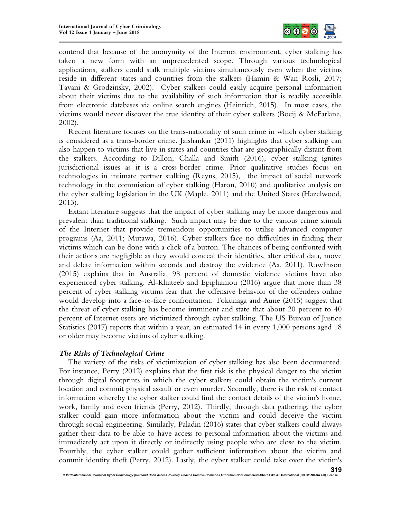

contend that because of the anonymity of the Internet environment, cyber stalking has taken a new form with an unprecedented scope. Through various technological applications, stalkers could stalk multiple victims simultaneously even when the victims reside in different states and countries from the stalkers (Hamin & Wan Rosli, 2017; Tavani & Grodzinsky, 2002). Cyber stalkers could easily acquire personal information about their victims due to the availability of such information that is readily accessible from electronic databases via online search engines (Heinrich, 2015). In most cases, the victims would never discover the true identity of their cyber stalkers (Bocij & McFarlane, 2002).

Recent literature focuses on the trans-nationality of such crime in which cyber stalking is considered as a trans-border crime. Jaishankar (2011) highlights that cyber stalking can also happen to victims that live in states and countries that are geographically distant from the stalkers. According to Dillon, Challa and Smith (2016), cyber stalking ignites jurisdictional issues as it is a cross-border crime. Prior qualitative studies focus on technologies in intimate partner stalking (Reyns, 2015), the impact of social network technology in the commission of cyber stalking (Haron, 2010) and qualitative analysis on the cyber stalking legislation in the UK (Maple, 2011) and the United States (Hazelwood, 2013).

Extant literature suggests that the impact of cyber stalking may be more dangerous and prevalent than traditional stalking. Such impact may be due to the various crime stimuli of the Internet that provide tremendous opportunities to utilise advanced computer programs (Aa, 2011; Mutawa, 2016). Cyber stalkers face no difficulties in finding their victims which can be done with a click of a button. The chances of being confronted with their actions are negligible as they would conceal their identities, alter critical data, move and delete information within seconds and destroy the evidence (Aa, 2011). Rawlinson (2015) explains that in Australia, 98 percent of domestic violence victims have also experienced cyber stalking. Al-Khateeb and Epiphaniou (2016) argue that more than 38 percent of cyber stalking victims fear that the offensive behavior of the offenders online would develop into a face-to-face confrontation. Tokunaga and Aune (2015) suggest that the threat of cyber stalking has become imminent and state that about 20 percent to 40 percent of Internet users are victimized through cyber stalking. The US Bureau of Justice Statistics (2017) reports that within a year, an estimated 14 in every 1,000 persons aged 18 or older may become victims of cyber stalking.

# *The Risks of Technological Crime*

The variety of the risks of victimization of cyber stalking has also been documented. For instance, Perry (2012) explains that the first risk is the physical danger to the victim through digital footprints in which the cyber stalkers could obtain the victim's current location and commit physical assault or even murder. Secondly, there is the risk of contact information whereby the cyber stalker could find the contact details of the victim's home, work, family and even friends (Perry, 2012). Thirdly, through data gathering, the cyber stalker could gain more information about the victim and could deceive the victim through social engineering. Similarly, Paladin (2016) states that cyber stalkers could always gather their data to be able to have access to personal information about the victims and immediately act upon it directly or indirectly using people who are close to the victim. Fourthly, the cyber stalker could gather sufficient information about the victim and commit identity theft (Perry, 2012). Lastly, the cyber stalker could take over the victim's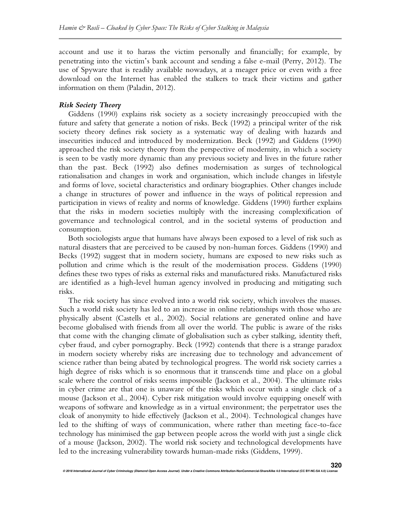account and use it to harass the victim personally and financially; for example, by penetrating into the victim's bank account and sending a false e-mail (Perry, 2012). The use of Spyware that is readily available nowadays, at a meager price or even with a free download on the Internet has enabled the stalkers to track their victims and gather information on them (Paladin, 2012).

## *Risk Society Theory*

Giddens (1990) explains risk society as a society increasingly preoccupied with the future and safety that generate a notion of risks. Beck (1992) a principal writer of the risk society theory defines risk society as a systematic way of dealing with hazards and insecurities induced and introduced by modernization. Beck (1992) and Giddens (1990) approached the risk society theory from the perspective of modernity, in which a society is seen to be vastly more dynamic than any previous society and lives in the future rather than the past. Beck (1992) also defines modernisation as surges of technological rationalisation and changes in work and organisation, which include changes in lifestyle and forms of love, societal characteristics and ordinary biographies. Other changes include a change in structures of power and influence in the ways of political repression and participation in views of reality and norms of knowledge. Giddens (1990) further explains that the risks in modern societies multiply with the increasing complexification of governance and technological control, and in the societal systems of production and consumption.

Both sociologists argue that humans have always been exposed to a level of risk such as natural disasters that are perceived to be caused by non-human forces. Giddens (1990) and Becks (1992) suggest that in modern society, humans are exposed to new risks such as pollution and crime which is the result of the modernisation process. Giddens (1990) defines these two types of risks as external risks and manufactured risks. Manufactured risks are identified as a high-level human agency involved in producing and mitigating such risks.

The risk society has since evolved into a world risk society, which involves the masses. Such a world risk society has led to an increase in online relationships with those who are physically absent (Castells et al., 2002). Social relations are generated online and have become globalised with friends from all over the world. The public is aware of the risks that come with the changing climate of globalisation such as cyber stalking, identity theft, cyber fraud, and cyber pornography. Beck (1992) contends that there is a strange paradox in modern society whereby risks are increasing due to technology and advancement of science rather than being abated by technological progress. The world risk society carries a high degree of risks which is so enormous that it transcends time and place on a global scale where the control of risks seems impossible (Jackson et al., 2004). The ultimate risks in cyber crime are that one is unaware of the risks which occur with a single click of a mouse (Jackson et al., 2004). Cyber risk mitigation would involve equipping oneself with weapons of software and knowledge as in a virtual environment; the perpetrator uses the cloak of anonymity to hide effectively (Jackson et al., 2004). Technological changes have led to the shifting of ways of communication, where rather than meeting face-to-face technology has minimised the gap between people across the world with just a single click of a mouse (Jackson, 2002). The world risk society and technological developments have led to the increasing vulnerability towards human-made risks (Giddens, 1999).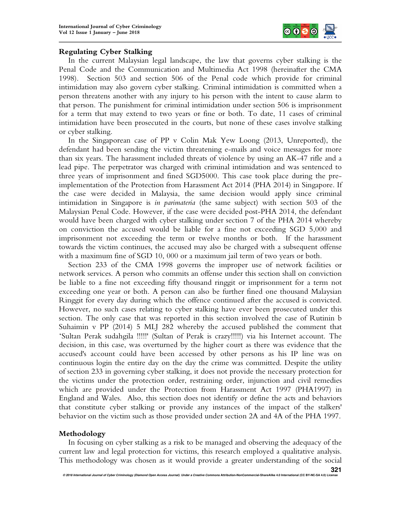

# **Regulating Cyber Stalking**

In the current Malaysian legal landscape, the law that governs cyber stalking is the Penal Code and the Communication and Multimedia Act 1998 (hereinafter the CMA 1998). Section 503 and section 506 of the Penal code which provide for criminal intimidation may also govern cyber stalking. Criminal intimidation is committed when a person threatens another with any injury to his person with the intent to cause alarm to that person. The punishment for criminal intimidation under section 506 is imprisonment for a term that may extend to two years or fine or both. To date, 11 cases of criminal intimidation have been prosecuted in the courts, but none of these cases involve stalking or cyber stalking.

In the Singaporean case of PP v Colin Mak Yew Loong (2013, Unreported), the defendant had been sending the victim threatening e-mails and voice messages for more than six years. The harassment included threats of violence by using an AK-47 rifle and a lead pipe. The perpetrator was charged with criminal intimidation and was sentenced to three years of imprisonment and fined SGD5000. This case took place during the preimplementation of the Protection from Harassment Act 2014 (PHA 2014) in Singapore. If the case were decided in Malaysia, the same decision would apply since criminal intimidation in Singapore is *in parimateria* (the same subject) with section 503 of the Malaysian Penal Code. However, if the case were decided post-PHA 2014, the defendant would have been charged with cyber stalking under section 7 of the PHA 2014 whereby on conviction the accused would be liable for a fine not exceeding SGD 5,000 and imprisonment not exceeding the term or twelve months or both. If the harassment towards the victim continues, the accused may also be charged with a subsequent offense with a maximum fine of SGD 10, 000 or a maximum jail term of two years or both.

Section 233 of the CMA 1998 governs the improper use of network facilities or network services. A person who commits an offense under this section shall on conviction be liable to a fine not exceeding fifty thousand ringgit or imprisonment for a term not exceeding one year or both. A person can also be further fined one thousand Malaysian Ringgit for every day during which the offence continued after the accused is convicted. However, no such cases relating to cyber stalking have ever been prosecuted under this section. The only case that was reported in this section involved the case of Rutinin b Suhaimin v PP (2014) 5 MLJ 282 whereby the accused published the comment that 'Sultan Perak sudahgila !!!!!' (Sultan of Perak is crazy!!!!!) via his Internet account. The decision, in this case, was overturned by the higher court as there was evidence that the accused's account could have been accessed by other persons as his IP line was on continuous login the entire day on the day the crime was committed. Despite the utility of section 233 in governing cyber stalking, it does not provide the necessary protection for the victims under the protection order, restraining order, injunction and civil remedies which are provided under the Protection from Harassment Act 1997 (PHA1997) in England and Wales. Also, this section does not identify or define the acts and behaviors that constitute cyber stalking or provide any instances of the impact of the stalkers' behavior on the victim such as those provided under section 2A and 4A of the PHA 1997.

# **Methodology**

In focusing on cyber stalking as a risk to be managed and observing the adequacy of the current law and legal protection for victims, this research employed a qualitative analysis. This methodology was chosen as it would provide a greater understanding of the social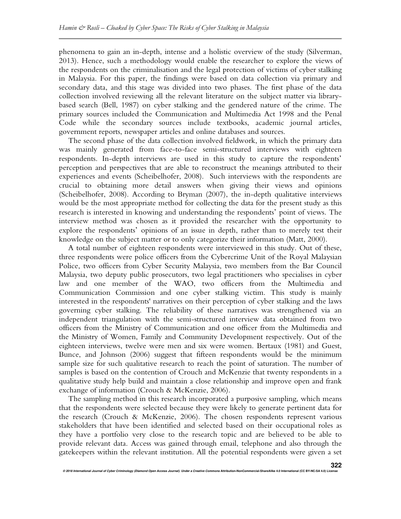phenomena to gain an in-depth, intense and a holistic overview of the study (Silverman, 2013). Hence, such a methodology would enable the researcher to explore the views of the respondents on the criminalisation and the legal protection of victims of cyber stalking in Malaysia. For this paper, the findings were based on data collection via primary and secondary data, and this stage was divided into two phases. The first phase of the data collection involved reviewing all the relevant literature on the subject matter via librarybased search (Bell, 1987) on cyber stalking and the gendered nature of the crime. The primary sources included the Communication and Multimedia Act 1998 and the Penal Code while the secondary sources include textbooks, academic journal articles, government reports, newspaper articles and online databases and sources.

The second phase of the data collection involved fieldwork, in which the primary data was mainly generated from face-to-face semi-structured interviews with eighteen respondents. In-depth interviews are used in this study to capture the respondents' perception and perspectives that are able to reconstruct the meanings attributed to their experiences and events (Scheibelhofer, 2008). Such interviews with the respondents are crucial to obtaining more detail answers when giving their views and opinions (Scheibelhofer, 2008). According to Bryman (2007), the in-depth qualitative interviews would be the most appropriate method for collecting the data for the present study as this research is interested in knowing and understanding the respondents' point of views. The interview method was chosen as it provided the researcher with the opportunity to explore the respondents' opinions of an issue in depth, rather than to merely test their knowledge on the subject matter or to only categorize their information (Matt, 2000).

A total number of eighteen respondents were interviewed in this study. Out of these, three respondents were police officers from the Cybercrime Unit of the Royal Malaysian Police, two officers from Cyber Security Malaysia, two members from the Bar Council Malaysia, two deputy public prosecutors, two legal practitioners who specialises in cyber law and one member of the WAO, two officers from the Multimedia and Communication Commission and one cyber stalking victim. This study is mainly interested in the respondents' narratives on their perception of cyber stalking and the laws governing cyber stalking. The reliability of these narratives was strengthened via an independent triangulation with the semi-structured interview data obtained from two officers from the Ministry of Communication and one officer from the Multimedia and the Ministry of Women, Family and Community Development respectively. Out of the eighteen interviews, twelve were men and six were women. Bertaux (1981) and Guest, Bunce, and Johnson (2006) suggest that fifteen respondents would be the minimum sample size for such qualitative research to reach the point of saturation. The number of samples is based on the contention of Crouch and McKenzie that twenty respondents in a qualitative study help build and maintain a close relationship and improve open and frank exchange of information (Crouch & McKenzie, 2006).

The sampling method in this research incorporated a purposive sampling, which means that the respondents were selected because they were likely to generate pertinent data for the research (Crouch & McKenzie, 2006). The chosen respondents represent various stakeholders that have been identified and selected based on their occupational roles as they have a portfolio very close to the research topic and are believed to be able to provide relevant data. Access was gained through email, telephone and also through the gatekeepers within the relevant institution. All the potential respondents were given a set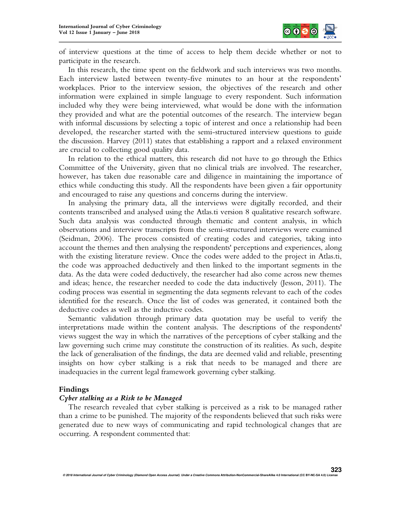

of interview questions at the time of access to help them decide whether or not to participate in the research.

In this research, the time spent on the fieldwork and such interviews was two months. Each interview lasted between twenty-five minutes to an hour at the respondents' workplaces. Prior to the interview session, the objectives of the research and other information were explained in simple language to every respondent. Such information included why they were being interviewed, what would be done with the information they provided and what are the potential outcomes of the research. The interview began with informal discussions by selecting a topic of interest and once a relationship had been developed, the researcher started with the semi-structured interview questions to guide the discussion. Harvey (2011) states that establishing a rapport and a relaxed environment are crucial to collecting good quality data.

In relation to the ethical matters, this research did not have to go through the Ethics Committee of the University, given that no clinical trials are involved. The researcher, however, has taken due reasonable care and diligence in maintaining the importance of ethics while conducting this study. All the respondents have been given a fair opportunity and encouraged to raise any questions and concerns during the interview.

In analysing the primary data, all the interviews were digitally recorded, and their contents transcribed and analysed using the Atlas.ti version 8 qualitative research software. Such data analysis was conducted through thematic and content analysis, in which observations and interview transcripts from the semi-structured interviews were examined (Seidman, 2006). The process consisted of creating codes and categories, taking into account the themes and then analysing the respondents' perceptions and experiences, along with the existing literature review. Once the codes were added to the project in Atlas.ti, the code was approached deductively and then linked to the important segments in the data. As the data were coded deductively, the researcher had also come across new themes and ideas; hence, the researcher needed to code the data inductively (Jesson, 2011). The coding process was essential in segmenting the data segments relevant to each of the codes identified for the research. Once the list of codes was generated, it contained both the deductive codes as well as the inductive codes.

Semantic validation through primary data quotation may be useful to verify the interpretations made within the content analysis. The descriptions of the respondents' views suggest the way in which the narratives of the perceptions of cyber stalking and the law governing such crime may constitute the construction of its realities. As such, despite the lack of generalisation of the findings, the data are deemed valid and reliable, presenting insights on how cyber stalking is a risk that needs to be managed and there are inadequacies in the current legal framework governing cyber stalking.

## **Findings**

## *Cyber stalking as a Risk to be Managed*

The research revealed that cyber stalking is perceived as a risk to be managed rather than a crime to be punished. The majority of the respondents believed that such risks were generated due to new ways of communicating and rapid technological changes that are occurring. A respondent commented that: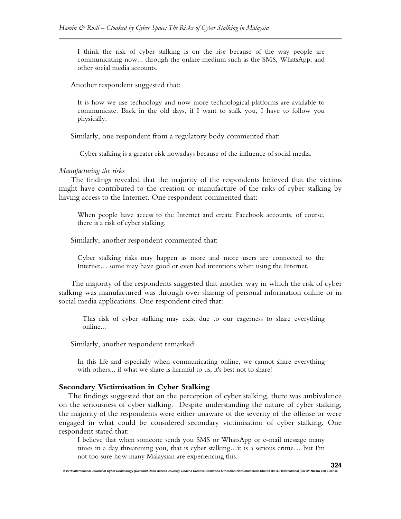I think the risk of cyber stalking is on the rise because of the way people are communicating now... through the online medium such as the SMS, WhatsApp, and other social media accounts.

Another respondent suggested that:

It is how we use technology and now more technological platforms are available to communicate. Back in the old days, if I want to stalk you, I have to follow you physically.

Similarly, one respondent from a regulatory body commented that:

Cyber stalking is a greater risk nowadays because of the influence of social media.

#### *Manufacturing the risks*

The findings revealed that the majority of the respondents believed that the victims might have contributed to the creation or manufacture of the risks of cyber stalking by having access to the Internet. One respondent commented that:

When people have access to the Internet and create Facebook accounts, of course, there is a risk of cyber stalking.

Similarly, another respondent commented that:

Cyber stalking risks may happen as more and more users are connected to the Internet… some may have good or even bad intentions when using the Internet.

The majority of the respondents suggested that another way in which the risk of cyber stalking was manufactured was through over sharing of personal information online or in social media applications. One respondent cited that:

This risk of cyber stalking may exist due to our eagerness to share everything online...

Similarly, another respondent remarked:

In this life and especially when communicating online, we cannot share everything with others... if what we share is harmful to us, it's best not to share!

#### **Secondary Victimisation in Cyber Stalking**

The findings suggested that on the perception of cyber stalking, there was ambivalence on the seriousness of cyber stalking. Despite understanding the nature of cyber stalking, the majority of the respondents were either unaware of the severity of the offense or were engaged in what could be considered secondary victimisation of cyber stalking. One respondent stated that:

I believe that when someone sends you SMS or WhatsApp or e-mail message many times in a day threatening you, that is cyber stalking…it is a serious crime… but I'm not too sure how many Malaysian are experiencing this.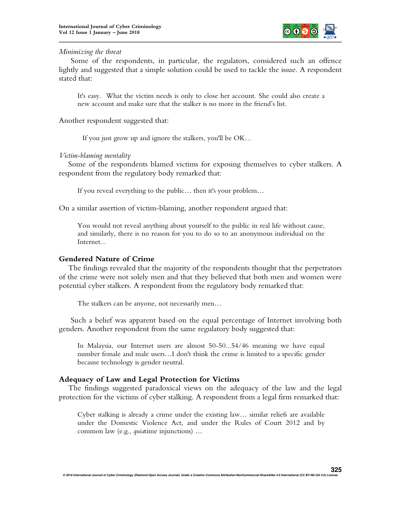

## *Minimizing the threat*

Some of the respondents, in particular, the regulators, considered such an offence lightly and suggested that a simple solution could be used to tackle the issue. A respondent stated that:

It's easy. What the victim needs is only to close her account. She could also create a new account and make sure that the stalker is no more in the friend's list.

Another respondent suggested that:

If you just grow up and ignore the stalkers, you'll be OK…

# *Victim-blaming mentality*

Some of the respondents blamed victims for exposing themselves to cyber stalkers. A respondent from the regulatory body remarked that:

If you reveal everything to the public… then it's your problem…

On a similar assertion of victim-blaming, another respondent argued that:

You would not reveal anything about yourself to the public in real life without cause, and similarly, there is no reason for you to do so to an anonymous individual on the Internet...

# **Gendered Nature of Crime**

The findings revealed that the majority of the respondents thought that the perpetrators of the crime were not solely men and that they believed that both men and women were potential cyber stalkers. A respondent from the regulatory body remarked that:

The stalkers can be anyone, not necessarily men…

Such a belief was apparent based on the equal percentage of Internet involving both genders. Another respondent from the same regulatory body suggested that:

In Malaysia, our Internet users are almost 50-50...54/46 meaning we have equal number female and male users…I don't think the crime is limited to a specific gender because technology is gender neutral.

# **Adequacy of Law and Legal Protection for Victims**

The findings suggested paradoxical views on the adequacy of the law and the legal protection for the victims of cyber stalking. A respondent from a legal firm remarked that:

Cyber stalking is already a crime under the existing law… similar reliefs are available under the Domestic Violence Act, and under the Rules of Court 2012 and by common law (e.g., *quia*time injunctions) …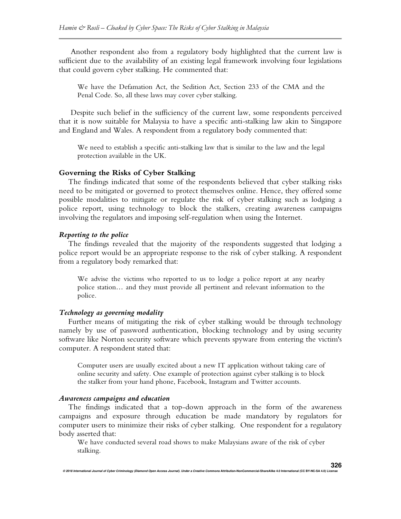Another respondent also from a regulatory body highlighted that the current law is sufficient due to the availability of an existing legal framework involving four legislations that could govern cyber stalking. He commented that:

We have the Defamation Act, the Sedition Act, Section 233 of the CMA and the Penal Code. So, all these laws may cover cyber stalking.

Despite such belief in the sufficiency of the current law, some respondents perceived that it is now suitable for Malaysia to have a specific anti-stalking law akin to Singapore and England and Wales. A respondent from a regulatory body commented that:

We need to establish a specific anti-stalking law that is similar to the law and the legal protection available in the UK.

### **Governing the Risks of Cyber Stalking**

The findings indicated that some of the respondents believed that cyber stalking risks need to be mitigated or governed to protect themselves online. Hence, they offered some possible modalities to mitigate or regulate the risk of cyber stalking such as lodging a police report, using technology to block the stalkers, creating awareness campaigns involving the regulators and imposing self-regulation when using the Internet.

### *Reporting to the police*

The findings revealed that the majority of the respondents suggested that lodging a police report would be an appropriate response to the risk of cyber stalking. A respondent from a regulatory body remarked that:

We advise the victims who reported to us to lodge a police report at any nearby police station… and they must provide all pertinent and relevant information to the police.

### *Technology as governing modality*

Further means of mitigating the risk of cyber stalking would be through technology namely by use of password authentication, blocking technology and by using security software like Norton security software which prevents spyware from entering the victim's computer. A respondent stated that:

Computer users are usually excited about a new IT application without taking care of online security and safety. One example of protection against cyber stalking is to block the stalker from your hand phone, Facebook, Instagram and Twitter accounts.

#### *Awareness campaigns and education*

The findings indicated that a top-down approach in the form of the awareness campaigns and exposure through education be made mandatory by regulators for computer users to minimize their risks of cyber stalking. One respondent for a regulatory body asserted that:

We have conducted several road shows to make Malaysians aware of the risk of cyber stalking.

**326**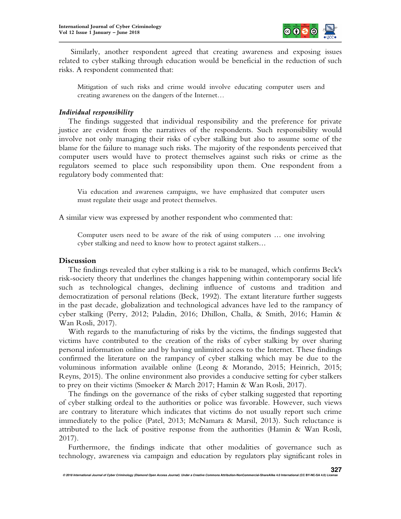

Similarly, another respondent agreed that creating awareness and exposing issues related to cyber stalking through education would be beneficial in the reduction of such risks. A respondent commented that:

Mitigation of such risks and crime would involve educating computer users and creating awareness on the dangers of the Internet…

## *Individual responsibility*

The findings suggested that individual responsibility and the preference for private justice are evident from the narratives of the respondents. Such responsibility would involve not only managing their risks of cyber stalking but also to assume some of the blame for the failure to manage such risks. The majority of the respondents perceived that computer users would have to protect themselves against such risks or crime as the regulators seemed to place such responsibility upon them. One respondent from a regulatory body commented that:

Via education and awareness campaigns, we have emphasized that computer users must regulate their usage and protect themselves.

A similar view was expressed by another respondent who commented that:

Computer users need to be aware of the risk of using computers … one involving cyber stalking and need to know how to protect against stalkers…

## **Discussion**

The findings revealed that cyber stalking is a risk to be managed, which confirms Beck's risk-society theory that underlines the changes happening within contemporary social life such as technological changes, declining influence of customs and tradition and democratization of personal relations (Beck, 1992). The extant literature further suggests in the past decade, globalization and technological advances have led to the rampancy of cyber stalking (Perry, 2012; Paladin, 2016; Dhillon, Challa, & Smith, 2016; Hamin & Wan Rosli, 2017).

With regards to the manufacturing of risks by the victims, the findings suggested that victims have contributed to the creation of the risks of cyber stalking by over sharing personal information online and by having unlimited access to the Internet. These findings confirmed the literature on the rampancy of cyber stalking which may be due to the voluminous information available online (Leong & Morando, 2015; Heinrich, 2015; Reyns, 2015). The online environment also provides a conducive setting for cyber stalkers to prey on their victims (Smoeker & March 2017; Hamin & Wan Rosli, 2017).

The findings on the governance of the risks of cyber stalking suggested that reporting of cyber stalking ordeal to the authorities or police was favorable. However, such views are contrary to literature which indicates that victims do not usually report such crime immediately to the police (Patel, 2013; McNamara & Marsil, 2013). Such reluctance is attributed to the lack of positive response from the authorities (Hamin & Wan Rosli, 2017).

Furthermore, the findings indicate that other modalities of governance such as technology, awareness via campaign and education by regulators play significant roles in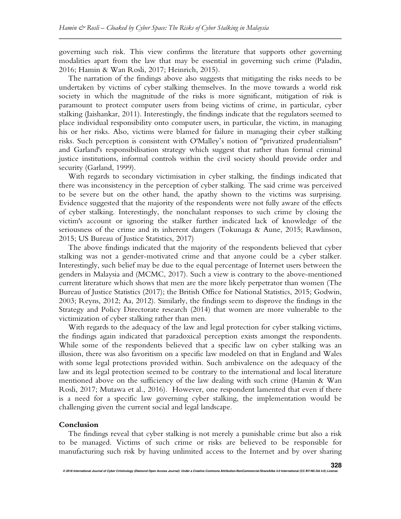governing such risk. This view confirms the literature that supports other governing modalities apart from the law that may be essential in governing such crime (Paladin, 2016; Hamin & Wan Rosli, 2017; Heinrich, 2015).

The narration of the findings above also suggests that mitigating the risks needs to be undertaken by victims of cyber stalking themselves. In the move towards a world risk society in which the magnitude of the risks is more significant, mitigation of risk is paramount to protect computer users from being victims of crime, in particular, cyber stalking (Jaishankar, 2011). Interestingly, the findings indicate that the regulators seemed to place individual responsibility onto computer users, in particular, the victim, in managing his or her risks. Also, victims were blamed for failure in managing their cyber stalking risks. Such perception is consistent with O'Malley's notion of "privatized prudentialism" and Garland's responsibilisation strategy which suggest that rather than formal criminal justice institutions, informal controls within the civil society should provide order and security (Garland, 1999).

With regards to secondary victimisation in cyber stalking, the findings indicated that there was inconsistency in the perception of cyber stalking. The said crime was perceived to be severe but on the other hand, the apathy shown to the victims was surprising. Evidence suggested that the majority of the respondents were not fully aware of the effects of cyber stalking. Interestingly, the nonchalant responses to such crime by closing the victim's account or ignoring the stalker further indicated lack of knowledge of the seriousness of the crime and its inherent dangers (Tokunaga & Aune, 2015; Rawlinson, 2015; US Bureau of Justice Statistics, 2017)

The above findings indicated that the majority of the respondents believed that cyber stalking was not a gender-motivated crime and that anyone could be a cyber stalker. Interestingly, such belief may be due to the equal percentage of Internet users between the genders in Malaysia and (MCMC, 2017). Such a view is contrary to the above-mentioned current literature which shows that men are the more likely perpetrator than women (The Bureau of Justice Statistics (2017); the British Office for National Statistics, 2015; Godwin, 2003; Reyns, 2012; Aa, 2012). Similarly, the findings seem to disprove the findings in the Strategy and Policy Directorate research (2014) that women are more vulnerable to the victimization of cyber stalking rather than men.

With regards to the adequacy of the law and legal protection for cyber stalking victims, the findings again indicated that paradoxical perception exists amongst the respondents. While some of the respondents believed that a specific law on cyber stalking was an illusion, there was also favoritism on a specific law modeled on that in England and Wales with some legal protections provided within. Such ambivalence on the adequacy of the law and its legal protection seemed to be contrary to the international and local literature mentioned above on the sufficiency of the law dealing with such crime (Hamin & Wan Rosli, 2017; Mutawa et al., 2016). However, one respondent lamented that even if there is a need for a specific law governing cyber stalking, the implementation would be challenging given the current social and legal landscape.

### **Conclusion**

The findings reveal that cyber stalking is not merely a punishable crime but also a risk to be managed. Victims of such crime or risks are believed to be responsible for manufacturing such risk by having unlimited access to the Internet and by over sharing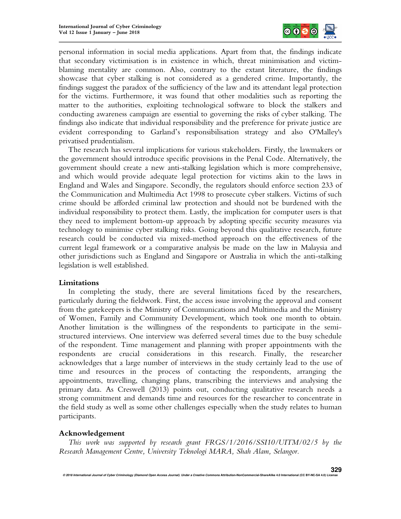

personal information in social media applications. Apart from that, the findings indicate that secondary victimisation is in existence in which, threat minimisation and victimblaming mentality are common. Also, contrary to the extant literature, the findings showcase that cyber stalking is not considered as a gendered crime. Importantly, the findings suggest the paradox of the sufficiency of the law and its attendant legal protection for the victims. Furthermore, it was found that other modalities such as reporting the matter to the authorities, exploiting technological software to block the stalkers and conducting awareness campaign are essential to governing the risks of cyber stalking. The findings also indicate that individual responsibility and the preference for private justice are evident corresponding to Garland's responsibilisation strategy and also O'Malley's privatised prudentialism.

The research has several implications for various stakeholders. Firstly, the lawmakers or the government should introduce specific provisions in the Penal Code. Alternatively, the government should create a new anti-stalking legislation which is more comprehensive, and which would provide adequate legal protection for victims akin to the laws in England and Wales and Singapore. Secondly, the regulators should enforce section 233 of the Communication and Multimedia Act 1998 to prosecute cyber stalkers. Victims of such crime should be afforded criminal law protection and should not be burdened with the individual responsibility to protect them. Lastly, the implication for computer users is that they need to implement bottom-up approach by adopting specific security measures via technology to minimise cyber stalking risks. Going beyond this qualitative research, future research could be conducted via mixed-method approach on the effectiveness of the current legal framework or a comparative analysis be made on the law in Malaysia and other jurisdictions such as England and Singapore or Australia in which the anti-stalking legislation is well established.

## **Limitations**

In completing the study, there are several limitations faced by the researchers, particularly during the fieldwork. First, the access issue involving the approval and consent from the gatekeepers is the Ministry of Communications and Multimedia and the Ministry of Women, Family and Community Development, which took one month to obtain. Another limitation is the willingness of the respondents to participate in the semistructured interviews. One interview was deferred several times due to the busy schedule of the respondent. Time management and planning with proper appointments with the respondents are crucial considerations in this research. Finally, the researcher acknowledges that a large number of interviews in the study certainly lead to the use of time and resources in the process of contacting the respondents, arranging the appointments, travelling, changing plans, transcribing the interviews and analysing the primary data. As Creswell (2013) points out, conducting qualitative research needs a strong commitment and demands time and resources for the researcher to concentrate in the field study as well as some other challenges especially when the study relates to human participants.

## **Acknowledgement**

*This work was supported by research grant FRGS/1/2016/SSI10/UITM/02/5 by the Research Management Centre, University Teknologi MARA, Shah Alam, Selangor.*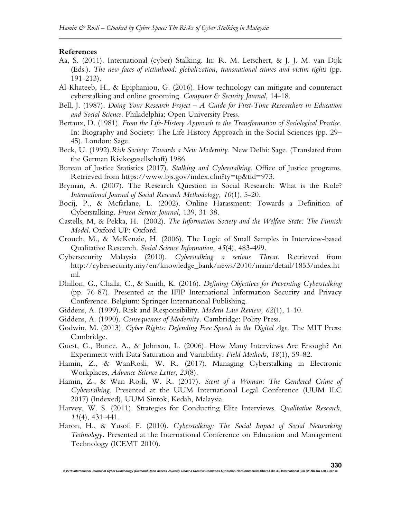#### **References**

- Aa, S. (2011). International (cyber) Stalking. In: R. M. Letschert, & J. J. M. van Dijk (Eds.). *The new faces of victimhood: globalization, transnational crimes and victim rights* (pp. 191-213).
- Al-Khateeb, H., & Epiphaniou, G. (2016). How technology can mitigate and counteract cyberstalking and online grooming. *Computer & Security Journal,* 14-18.
- Bell, J. (1987). *Doing Your Research Project – A Guide for First-Time Researchers in Education and Social Science.* Philadelphia: Open University Press.
- Bertaux, D. (1981). *From the Life-History Approach to the Transformation of Sociological Practice.* In: Biography and Society: The Life History Approach in the Social Sciences (pp. 29– 45). London: Sage.
- Beck, U. (1992).*Risk Society: Towards a New Modernity.* New Delhi: Sage. (Translated from the German Risikogesellschaft) 1986.
- Bureau of Justice Statistics (2017). *Stalking and Cyberstalking*. Office of Justice programs. Retrieved from https://www.bjs.gov/index.cfm?ty=tp&tid=973.
- Bryman, A. (2007). The Research Question in Social Research: What is the Role? *International Journal of Social Research Methodology, 10*(1), 5-20.
- Bocij, P., & Mcfarlane, L. (2002). Online Harassment: Towards a Definition of Cyberstalking. *Prison Service Journal,* 139, 31-38.
- Castells, M, & Pekka, H. (2002). *The Information Society and the Welfare State: The Finnish Model*. Oxford UP: Oxford.
- Crouch, M., & McKenzie, H. (2006). The Logic of Small Samples in Interview-based Qualitative Research. *Social Science Information, 45*(4), 483-499.
- Cybersecurity Malaysia (2010). *Cyberstalking a serious Threat*. Retrieved from http://cybersecurity.my/en/knowledge\_bank/news/2010/main/detail/1853/index.ht ml.
- Dhillon, G., Challa, C., & Smith, K. (2016). *Defining Objectives for Preventing Cyberstalking* (pp. 76-87). Presented at the IFIP International Information Security and Privacy Conference. Belgium: Springer International Publishing.
- Giddens, A. (1999). Risk and Responsibility. *Modern Law Review, 62*(1), 1-10.
- Giddens, A. (1990). *Consequences of Modernity.* Cambridge: Polity Press.
- Godwin, M. (2013). *Cyber Rights: Defending Free Speech in the Digital Age*. The MIT Press: Cambridge.
- Guest, G., Bunce, A., & Johnson, L. (2006). How Many Interviews Are Enough? An Experiment with Data Saturation and Variability. *Field Methods, 18*(1), 59-82.
- Hamin, Z., & WanRosli, W. R. (2017). Managing Cyberstalking in Electronic Workplaces, *Advance Science Letter*, *23*(8).
- Hamin, Z., & Wan Rosli, W. R. (2017). *Scent of a Woman: The Gendered Crime of Cyberstalking*. Presented at the UUM International Legal Conference (UUM ILC 2017) (Indexed), UUM Sintok, Kedah, Malaysia.
- Harvey, W. S. (2011). Strategies for Conducting Elite Interviews. *Qualitative Research*, *11*(4), 431-441.
- Haron, H., & Yusof, F. (2010). *Cyberstalking: The Social Impact of Social Networking Technology.* Presented at the International Conference on Education and Management Technology (ICEMT 2010).

**© 2018 International Journal of Cyber Criminology (Diamond Open Access Journal). Under a Creative Commons Attribution-NonCommercial-ShareAlike 4.0 International (CC BY-NC-SA 4.0) License 330**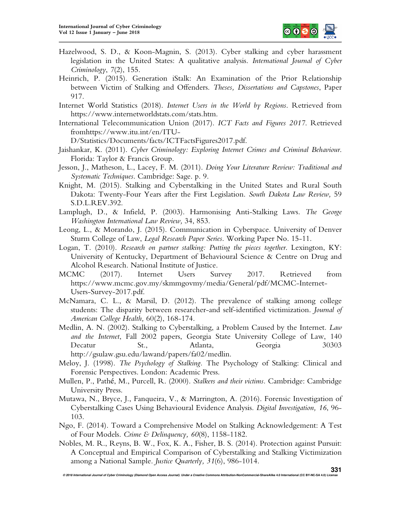

- Hazelwood, S. D., & Koon-Magnin, S. (2013). Cyber stalking and cyber harassment legislation in the United States: A qualitative analysis. *International Journal of Cyber Criminology*, *7*(2), 155.
- Heinrich, P. (2015). Generation iStalk: An Examination of the Prior Relationship between Victim of Stalking and Offenders. *Theses, Dissertations and Capstones*, Paper 917.
- Internet World Statistics (2018). *Internet Users in the World by Regions*. Retrieved from https://www.internetworldstats.com/stats.htm.
- International Telecommunication Union (2017). *ICT Facts and Figures 2017*. Retrieved fromhttps://www.itu.int/en/ITU-

D/Statistics/Documents/facts/ICTFactsFigures2017.pdf.

- Jaishankar, K. (2011). *Cyber Criminology: Exploring Internet Crimes and Criminal Behaviour*. Florida: Taylor & Francis Group.
- Jesson, J., Matheson, L., Lacey, F. M. (2011). *Doing Your Literature Review: Traditional and Systematic Techniques*. Cambridge: Sage. p. 9.
- Knight, M. (2015). Stalking and Cyberstalking in the United States and Rural South Dakota: Twenty-Four Years after the First Legislation. *South Dakota Law Review,* 59 S.D.L.REV.392.
- Lamplugh, D., & Infield, P. (2003). Harmonising Anti-Stalking Laws. *The George Washington International Law Review,* 34, 853.
- Leong, L., & Morando, J. (2015). Communication in Cyberspace. University of Denver Sturm College of Law, *Legal Research Paper Series*. Working Paper No. 15-11.
- Logan, T. (2010). *Research on partner stalking: Putting the pieces together*. Lexington, KY: University of Kentucky, Department of Behavioural Science & Centre on Drug and Alcohol Research. National Institute of Justice.
- MCMC (2017). Internet Users Survey 2017. Retrieved from https://www.mcmc.gov.my/skmmgovmy/media/General/pdf/MCMC-Internet-Users-Survey-2017.pdf.
- McNamara, C. L., & Marsil, D. (2012). The prevalence of stalking among college students: The disparity between researcher-and self-identified victimization. *Journal of American College Health,* 60(2), 168-174.
- Medlin, A. N. (2002). Stalking to Cyberstalking, a Problem Caused by the Internet. *Law and the Internet*, Fall 2002 papers, Georgia State University College of Law, 140 Decatur St., Atlanta, Georgia 30303 http://gsulaw.gsu.edu/lawand/papers/fa02/medlin.
- Meloy, J. (1998). *The Psychology of Stalking.* The Psychology of Stalking: Clinical and Forensic Perspectives. London: Academic Press.
- Mullen, P., Pathé, M., Purcell, R. (2000). *Stalkers and their victims.* Cambridge: Cambridge University Press.
- Mutawa, N., Bryce, J., Fanqueira, V., & Marrington, A. (2016). Forensic Investigation of Cyberstalking Cases Using Behavioural Evidence Analysis. *Digital Investigation, 16*, 96- 103.
- Ngo, F. (2014). Toward a Comprehensive Model on Stalking Acknowledgement: A Test of Four Models. *Crime & Delinquency, 60*(8), 1158-1182.
- Nobles, M. R., Reyns, B. W., Fox, K. A., Fisher, B. S. (2014). Protection against Pursuit: A Conceptual and Empirical Comparison of Cyberstalking and Stalking Victimization among a National Sample. *Justice Quarterly, 31*(6), 986-1014.